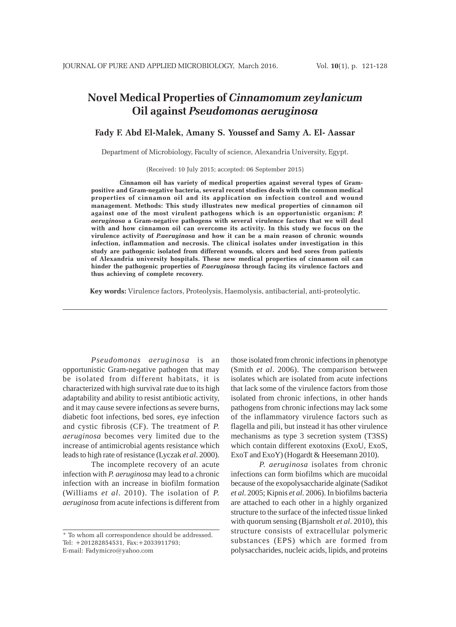# **Novel Medical Properties of** *Cinnamomum zeylanicum* **Oil against** *Pseudomonas aeruginosa*

# **Fady F. Abd El-Malek, Amany S. Youssef and Samy A. El- Aassar**

Department of Microbiology, Faculty of science, Alexandria University, Egypt.

(Received: 10 July 2015; accepted: 06 September 2015)

**Cinnamon oil has variety of medical properties against several types of Grampositive and Gram-negative bacteria, several recent studies deals with the common medical properties of cinnamon oil and its application on infection control and wound management. Methods: This study illustrates new medical properties of cinnamon oil against one of the most virulent pathogens which is an opportunistic organism;** *P. aeruginosa* **a Gram-negative pathogens with several virulence factors that we will deal with and how cinnamon oil can overcome its activity. In this study we focus on the virulence activity of** *P.aeruginosa* **and how it can be a main reason of chronic wounds infection, inflammation and necrosis. The clinical isolates under investigation in this study are pathogenic isolated from different wounds, ulcers and bed sores from patients of Alexandria university hospitals. These new medical properties of cinnamon oil can hinder the pathogenic properties of** *P.aeruginosa* **through facing its virulence factors and thus achieving of complete recovery.**

**Key words:** Virulence factors, Proteolysis, Haemolysis, antibacterial, anti-proteolytic.

*Pseudomonas aeruginosa* is an opportunistic Gram-negative pathogen that may be isolated from different habitats, it is characterized with high survival rate due to its high adaptability and ability to resist antibiotic activity, and it may cause severe infections as severe burns, diabetic foot infections, bed sores, eye infection and cystic fibrosis (CF). The treatment of *P. aeruginosa* becomes very limited due to the increase of antimicrobial agents resistance which leads to high rate of resistance (Lyczak *et al*. 2000).

The incomplete recovery of an acute infection with *P. aeruginosa* may lead to a chronic infection with an increase in biofilm formation (Williams *et al*. 2010). The isolation of *P. aeruginosa* from acute infections is different from

those isolated from chronic infections in phenotype (Smith *et al*. 2006). The comparison between isolates which are isolated from acute infections that lack some of the virulence factors from those isolated from chronic infections, in other hands pathogens from chronic infections may lack some of the inflammatory virulence factors such as flagella and pili, but instead it has other virulence mechanisms as type 3 secretion system (T3SS) which contain different exotoxins (ExoU, ExoS, ExoT and ExoY) (Hogardt & Heesemann 2010).

*P. aeruginosa* isolates from chronic infections can form biofilms which are mucoidal because of the exopolysaccharide alginate (Sadikot *et al*. 2005; Kipnis *et al*. 2006). In biofilms bacteria are attached to each other in a highly organized structure to the surface of the infected tissue linked with quorum sensing (Bjarnsholt *et al*. 2010), this structure consists of extracellular polymeric substances (EPS) which are formed from polysaccharides, nucleic acids, lipids, and proteins

<sup>\*</sup> To whom all correspondence should be addressed. Tel: +201282854531, Fax:+2033911793; E-mail: Fadymicro@yahoo.com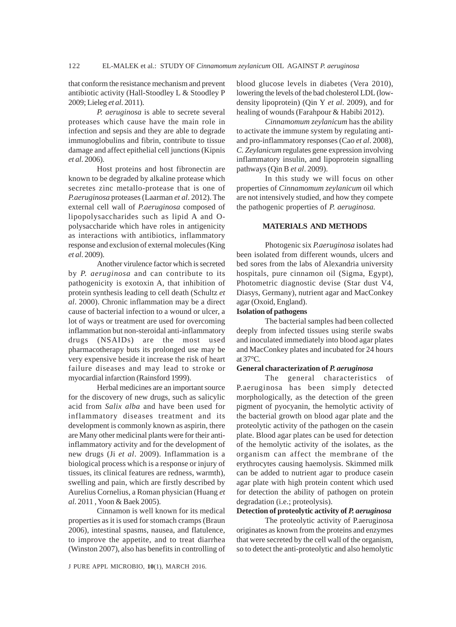that conform the resistance mechanism and prevent antibiotic activity (Hall-Stoodley L & Stoodley P 2009; Lieleg *et al*. 2011).

*P. aeruginosa* is able to secrete several proteases which cause have the main role in infection and sepsis and they are able to degrade immunoglobulins and fibrin, contribute to tissue damage and affect epithelial cell junctions (Kipnis *et al*. 2006).

Host proteins and host fibronectin are known to be degraded by alkaline protease which secretes zinc metallo-protease that is one of *P.aeruginosa* proteases (Laarman *et al*. 2012). The external cell wall of *P.aeruginosa* composed of lipopolysaccharides such as lipid A and Opolysaccharide which have roles in antigenicity as interactions with antibiotics, inflammatory response and exclusion of external molecules (King *et al*. 2009).

Another virulence factor which is secreted by *P. aeruginosa* and can contribute to its pathogenicity is exotoxin A, that inhibition of protein synthesis leading to cell death (Schultz *et al*. 2000). Chronic inflammation may be a direct cause of bacterial infection to a wound or ulcer, a lot of ways or treatment are used for overcoming inflammation but non-steroidal anti-inflammatory drugs (NSAIDs) are the most used pharmacotherapy buts its prolonged use may be very expensive beside it increase the risk of heart failure diseases and may lead to stroke or myocardial infarction (Rainsford 1999).

Herbal medicines are an important source for the discovery of new drugs, such as salicylic acid from *Salix alba* and have been used for inflammatory diseases treatment and its development is commonly known as aspirin, there are Many other medicinal plants were for their antiinflammatory activity and for the development of new drugs (Ji *et al*. 2009). Inflammation is a biological process which is a response or injury of tissues, its clinical features are redness, warmth), swelling and pain, which are firstly described by Aurelius Cornelius, a Roman physician (Huang *et al*. 2011 , Yoon & Baek 2005).

Cinnamon is well known for its medical properties as it is used for stomach cramps (Braun 2006), intestinal spasms, nausea, and flatulence, to improve the appetite, and to treat diarrhea (Winston 2007), also has benefits in controlling of blood glucose levels in diabetes (Vera 2010), lowering the levels of the bad cholesterol LDL (lowdensity lipoprotein) (Qin Y *et al*. 2009), and for healing of wounds (Farahpour & Habibi 2012).

*Cinnamomum zeylanicum* has the ability to activate the immune system by regulating antiand pro-inflammatory responses (Cao *et al*. 2008), *C. Zeylanicum* regulates gene expression involving inflammatory insulin, and lipoprotein signalling pathways (Qin B *et al*. 2009).

In this study we will focus on other properties of *Cinnamomum zeylanicum* oil which are not intensively studied, and how they compete the pathogenic properties of *P. aeruginosa.*

# **MATERIALS AND METHODS**

Photogenic six *P.aeruginosa* isolates had been isolated from different wounds, ulcers and bed sores from the labs of Alexandria university hospitals, pure cinnamon oil (Sigma, Egypt), Photometric diagnostic devise (Star dust V4, Diasys, Germany), nutrient agar and MacConkey agar (Oxoid, England).

#### **Isolation of pathogens**

The bacterial samples had been collected deeply from infected tissues using sterile swabs and inoculated immediately into blood agar plates and MacConkey plates and incubated for 24 hours at  $37^{\circ}$ C.

# **General characterization of** *P. aeruginosa*

The general characteristics of P.aeruginosa has been simply detected morphologically, as the detection of the green pigment of pyocyanin, the hemolytic activity of the bacterial growth on blood agar plate and the proteolytic activity of the pathogen on the casein plate. Blood agar plates can be used for detection of the hemolytic activity of the isolates, as the organism can affect the membrane of the erythrocytes causing haemolysis. Skimmed milk can be added to nutrient agar to produce casein agar plate with high protein content which used for detection the ability of pathogen on protein degradation (i.e.; proteolysis).

# **Detection of proteolytic activity of** *P. aeruginosa*

The proteolytic activity of P.aeruginosa originates as known from the proteins and enzymes that were secreted by the cell wall of the organism, so to detect the anti-proteolytic and also hemolytic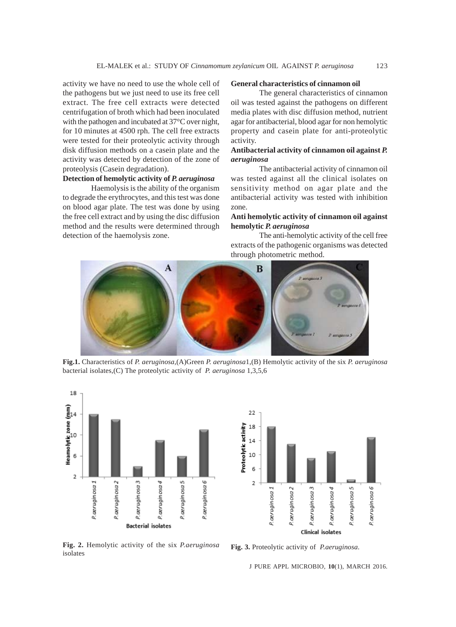activity we have no need to use the whole cell of the pathogens but we just need to use its free cell extract. The free cell extracts were detected centrifugation of broth which had been inoculated with the pathogen and incubated at 37°C over night, for 10 minutes at 4500 rph. The cell free extracts were tested for their proteolytic activity through disk diffusion methods on a casein plate and the activity was detected by detection of the zone of proteolysis (Casein degradation).

# **Detection of hemolytic activity of** *P. aeruginosa*

Haemolysis is the ability of the organism to degrade the erythrocytes, and this test was done on blood agar plate. The test was done by using the free cell extract and by using the disc diffusion method and the results were determined through detection of the haemolysis zone.

# **General characteristics of cinnamon oil**

The general characteristics of cinnamon oil was tested against the pathogens on different media plates with disc diffusion method, nutrient agar for antibacterial, blood agar for non hemolytic property and casein plate for anti-proteolytic activity.

# **Antibacterial activity of cinnamon oil against** *P. aeruginosa*

The antibacterial activity of cinnamon oil was tested against all the clinical isolates on sensitivity method on agar plate and the antibacterial activity was tested with inhibition zone.

# **Anti hemolytic activity of cinnamon oil against hemolytic** *P. aeruginosa*

The anti-hemolytic activity of the cell free extracts of the pathogenic organisms was detected through photometric method.



**Fig.1.** Characteristics of *P. aeruginosa*,(A)Green *P. aeruginosa*1,(B) Hemolytic activity of the six *P. aeruginosa* bacterial isolates,(C) The proteolytic activity of *P. aeruginosa* 1,3,5,6





**Fig. 2.** Hemolytic activity of the six *P.aeruginosa* isolates

**Fig. 3.** Proteolytic activity of *P.aeruginosa*.

J PURE APPL MICROBIO*,* **10**(1), MARCH 2016.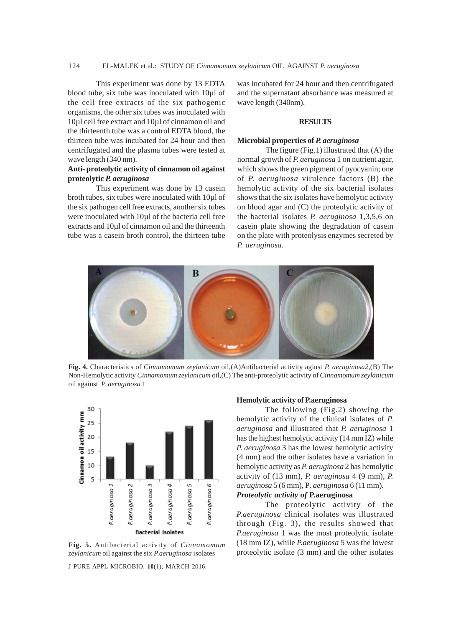# 124 EL-MALEK et al.: STUDY OF *Cinnamomum zeylanicum* OIL AGAINST *P. aeruginosa*

This experiment was done by 13 EDTA blood tube, six tube was inoculated with 10µl of the cell free extracts of the six pathogenic organisms, the other six tubes was inoculated with 10µl cell free extract and 10µl of cinnamon oil and the thirteenth tube was a control EDTA blood, the thirteen tube was incubated for 24 hour and then centrifugated and the plasma tubes were tested at wave length (340 nm).

# **Anti- proteolytic activity of cinnamon oil against proteolytic** *P. aeruginosa*

This experiment was done by 13 casein broth tubes, six tubes were inoculated with 10µl of the six pathogen cell free extracts, another six tubes were inoculated with 10 $\mu$ l of the bacteria cell free extracts and 10µl of cinnamon oil and the thirteenth tube was a casein broth control, the thirteen tube

was incubated for 24 hour and then centrifugated and the supernatant absorbance was measured at wave length (340nm).

# **RESULTS**

#### **Microbial properties of** *P. aeruginosa*

The figure (Fig.1) illustrated that (A) the normal growth of *P. aeruginosa* 1 on nutrient agar, which shows the green pigment of pyocyanin; one of *P. aeruginosa* virulence factors (B) the hemolytic activity of the six bacterial isolates shows that the six isolates have hemolytic activity on blood agar and (C) the proteolytic activity of the bacterial isolates *P. aeruginosa* 1,3,5,6 on casein plate showing the degradation of casein on the plate with proteolysis enzymes secreted by *P. aeruginosa*.



**Fig. 4.** Characteristics of *Cinnamomum zeylanicum* oil,(A)Antibacterial activity aginst *P. aeruginosa2*,(B) The Non-Hemolytic activity *Cinnamomum zeylanicum* oil,(C) The anti-proteolytic activity of *Cinnamomum zeylanicum* oil against *P. aeruginosa* 1



**Fig. 5.** Antibacterial activity of *Cinnamomum zeylanicum* oil against the six *P.aeruginosa* isolates

J PURE APPL MICROBIO*,* **10**(1), MARCH 2016.

#### **Hemolytic activity of P.aeruginosa**

The following (Fig.2) showing the hemolytic activity of the clinical isolates of *P. aeruginosa* and illustrated that *P. aeruginosa* 1 has the highest hemolytic activity (14 mm IZ) while *P. aeruginosa* 3 has the lowest hemolytic activity (4 mm) and the other isolates have a variation in hemolytic activity as *P. aeruginosa* 2 has hemolytic activity of (13 mm), *P. aeruginosa* 4 (9 mm), *P. aeruginosa* 5 (6 mm), P*. aeruginosa* 6 (11 mm). *Proteolytic activity of* **P.aeruginosa**

The proteolytic activity of the *P.aeruginosa* clinical isolates was illustrated through (Fig. 3), the results showed that *P.aeruginosa* 1 was the most proteolytic isolate (18 mm IZ), while *P.aeruginosa* 5 was the lowest proteolytic isolate (3 mm) and the other isolates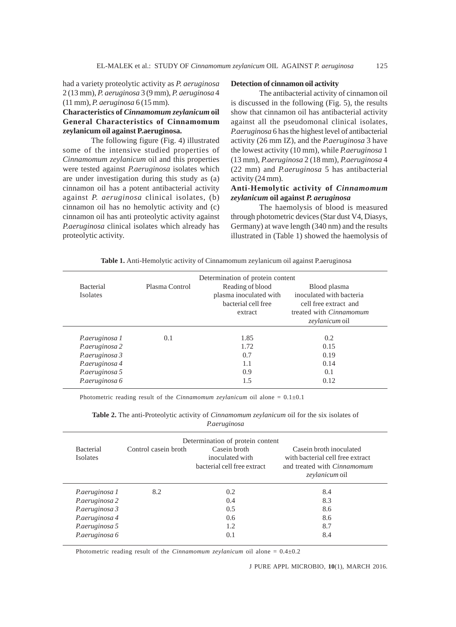had a variety proteolytic activity as *P. aeruginosa* 2 (13 mm), *P. aeruginosa* 3 (9 mm), *P. aeruginosa* 4 (11 mm), *P. aeruginosa* 6 (15 mm).

# **Characteristics of** *Cinnamomum zeylanicum* **oil General Characteristics of Cinnamomum zeylanicum oil against P.aeruginosa.**

The following figure (Fig. 4) illustrated some of the intensive studied properties of *Cinnamomum zeylanicum* oil and this properties were tested against *P.aeruginosa* isolates which are under investigation during this study as (a) cinnamon oil has a potent antibacterial activity against *P. aeruginosa* clinical isolates, (b) cinnamon oil has no hemolytic activity and (c) cinnamon oil has anti proteolytic activity against *P.aeruginosa* clinical isolates which already has proteolytic activity.

# **Detection of cinnamon oil activity**

The antibacterial activity of cinnamon oil is discussed in the following (Fig. 5), the results show that cinnamon oil has antibacterial activity against all the pseudomonal clinical isolates, *P.aeruginosa* 6 has the highest level of antibacterial activity (26 mm IZ), and the *P.aeruginosa* 3 have the lowest activity (10 mm), while *P.aeruginosa* 1 (13 mm), *P.aeruginosa* 2 (18 mm), *P.aeruginosa* 4 (22 mm) and *P.aeruginosa* 5 has antibacterial activity (24 mm).

# **Anti-Hemolytic activity of** *Cinnamomum zeylanicum* **oil against** *P. aeruginosa*

The haemolysis of blood is measured through photometric devices (Star dust V4, Diasys, Germany) at wave length (340 nm) and the results illustrated in (Table 1) showed the haemolysis of

| <b>Table 1.</b> Anti-Hemolytic activity of Cinnamomum zeylanicum oil against Paeruginosa |  |  |  |
|------------------------------------------------------------------------------------------|--|--|--|
|                                                                                          |  |  |  |

|                                     | Determination of protein content |                                                                              |                                                                                                                       |  |  |
|-------------------------------------|----------------------------------|------------------------------------------------------------------------------|-----------------------------------------------------------------------------------------------------------------------|--|--|
| <b>Bacterial</b><br><b>Isolates</b> | Plasma Control                   | Reading of blood<br>plasma inoculated with<br>bacterial cell free<br>extract | Blood plasma<br>inoculated with bacteria<br>cell free extract and<br>treated with <i>Cinnamomum</i><br>zevlanicum oil |  |  |
| P.aeruginosa 1                      | 0.1                              | 1.85                                                                         | 0.2                                                                                                                   |  |  |
| P.aeruginosa 2                      |                                  | 1.72                                                                         | 0.15                                                                                                                  |  |  |
| P.aeruginosa 3                      |                                  | 0.7                                                                          | 0.19                                                                                                                  |  |  |
| P.aeruginosa 4                      |                                  | 1.1                                                                          | 0.14                                                                                                                  |  |  |
| P.aeruginosa 5                      |                                  | 0.9                                                                          | 0.1                                                                                                                   |  |  |
| P.aeruginosa 6                      |                                  | 1.5                                                                          | 0.12                                                                                                                  |  |  |

Photometric reading result of the *Cinnamomum zeylanicum* oil alone = 0.1±0.1

**Table 2.** The anti-Proteolytic activity of *Cinnamomum zeylanicum* oil for the six isolates of *P.aeruginosa*

| <b>Bacterial</b><br><b>Isolates</b> | Control casein broth | Casein broth<br>inoculated with<br>bacterial cell free extract | Case in broth inoculated<br>with bacterial cell free extract<br>and treated with <i>Cinnamomum</i><br>zeylanicum oil |
|-------------------------------------|----------------------|----------------------------------------------------------------|----------------------------------------------------------------------------------------------------------------------|
| P.aeruginosa 1                      | 8.2                  | 0.2                                                            | 8.4                                                                                                                  |
| P.aeruginosa 2                      |                      | 0.4                                                            | 8.3                                                                                                                  |
| P.aeruginosa 3                      |                      | 0.5                                                            | 8.6                                                                                                                  |
| P.aeruginosa 4                      |                      | 0.6                                                            | 8.6                                                                                                                  |
| P.aeruginosa 5                      |                      | 1.2                                                            | 8.7                                                                                                                  |
| P.aeruginosa 6                      |                      | 0.1                                                            | 8.4                                                                                                                  |

Photometric reading result of the *Cinnamomum zeylanicum* oil alone = 0.4±0.2

J PURE APPL MICROBIO*,* **10**(1), MARCH 2016.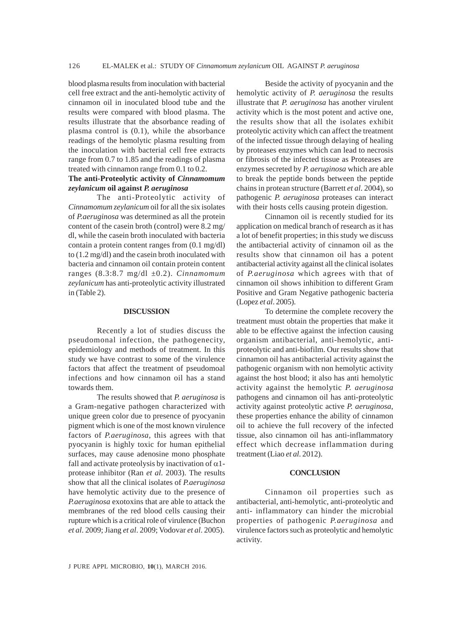blood plasma results from inoculation with bacterial cell free extract and the anti-hemolytic activity of cinnamon oil in inoculated blood tube and the results were compared with blood plasma. The results illustrate that the absorbance reading of plasma control is (0.1), while the absorbance readings of the hemolytic plasma resulting from the inoculation with bacterial cell free extracts range from 0.7 to 1.85 and the readings of plasma treated with cinnamon range from 0.1 to 0.2.

# **The anti-Proteolytic activity of** *Cinnamomum zeylanicum* **oil against** *P. aeruginosa*

The anti-Proteolytic activity of *Cinnamomum zeylanicum* oil for all the six isolates of *P.aeruginosa* was determined as all the protein content of the casein broth (control) were 8.2 mg/ dl, while the casein broth inoculated with bacteria contain a protein content ranges from (0.1 mg/dl) to (1.2 mg/dl) and the casein broth inoculated with bacteria and cinnamon oil contain protein content ranges (8.3:8.7 mg/dl ±0.2). *Cinnamomum zeylanicum* has anti-proteolytic activity illustrated in (Table 2).

### **DISCUSSION**

Recently a lot of studies discuss the pseudomonal infection, the pathogenecity, epidemiology and methods of treatment. In this study we have contrast to some of the virulence factors that affect the treatment of pseudomoal infections and how cinnamon oil has a stand towards them.

The results showed that *P. aeruginosa* is a Gram-negative pathogen characterized with unique green color due to presence of pyocyanin pigment which is one of the most known virulence factors of *P.aeruginosa*, this agrees with that pyocyanin is highly toxic for human epithelial surfaces, may cause adenosine mono phosphate fall and activate proteolysis by inactivation of  $\alpha$ 1protease inhibitor (Ran *et al*. 2003). The results show that all the clinical isolates of *P.aeruginosa* have hemolytic activity due to the presence of *P.aeruginosa* exotoxins that are able to attack the membranes of the red blood cells causing their rupture which is a critical role of virulence (Buchon *et al*. 2009; Jiang *et al*. 2009; Vodovar *et al*. 2005).

Beside the activity of pyocyanin and the hemolytic activity of *P. aeruginosa* the results illustrate that *P. aeruginosa* has another virulent activity which is the most potent and active one, the results show that all the isolates exhibit proteolytic activity which can affect the treatment of the infected tissue through delaying of healing by proteases enzymes which can lead to necrosis or fibrosis of the infected tissue as Proteases are enzymes secreted by *P. aeruginosa* which are able to break the peptide bonds between the peptide chains in protean structure (Barrett *et al*. 2004), so pathogenic *P. aeruginosa* proteases can interact with their hosts cells causing protein digestion.

Cinnamon oil is recently studied for its application on medical branch of research as it has a lot of benefit properties; in this study we discuss the antibacterial activity of cinnamon oil as the results show that cinnamon oil has a potent antibacterial activity against all the clinical isolates of *P.aeruginosa* which agrees with that of cinnamon oil shows inhibition to different Gram Positive and Gram Negative pathogenic bacteria (Lopez *et al*. 2005).

To determine the complete recovery the treatment must obtain the properties that make it able to be effective against the infection causing organism antibacterial, anti-hemolytic, antiproteolytic and anti-biofilm. Our results show that cinnamon oil has antibacterial activity against the pathogenic organism with non hemolytic activity against the host blood; it also has anti hemolytic activity against the hemolytic *P. aeruginosa* pathogens and cinnamon oil has anti-proteolytic activity against proteolytic active *P. aeruginosa*, these properties enhance the ability of cinnamon oil to achieve the full recovery of the infected tissue, also cinnamon oil has anti-inflammatory effect which decrease inflammation during treatment (Liao *et al*. 2012).

#### **CONCLUSION**

Cinnamon oil properties such as antibacterial, anti-hemolytic, anti-proteolytic and anti- inflammatory can hinder the microbial properties of pathogenic *P.aeruginosa* and virulence factors such as proteolytic and hemolytic activity.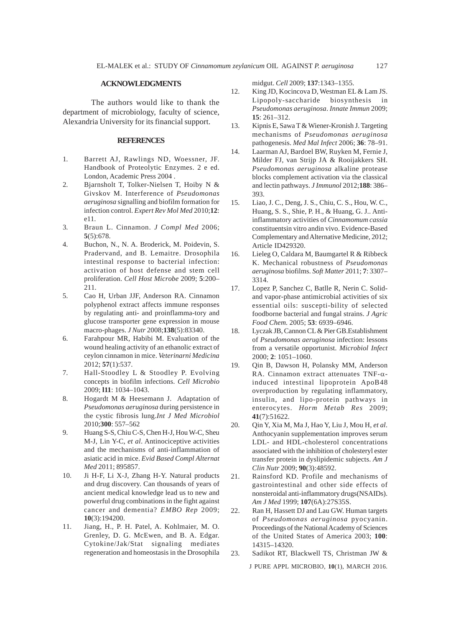# **ACKNOWLEDGMENTS**

The authors would like to thank the department of microbiology, faculty of science, Alexandria University for its financial support.

# **REFERENCES**

- 1. Barrett AJ, Rawlings ND, Woessner, JF. Handbook of Proteolytic Enzymes. 2 e ed. London, Academic Press 2004 .
- 2. Bjarnsholt T, Tolker-Nielsen T, Hoiby N & Givskov M. Interference of *Pseudomonas aeruginosa* signalling and biofilm formation for infection control. *Expert Rev Mol Med* 2010;**12**: e11.
- 3. Braun L. Cinnamon. *J Compl Med* 2006; **5**(5):678.
- 4. Buchon, N., N. A. Broderick, M. Poidevin, S. Pradervand, and B. Lemaitre. Drosophila intestinal response to bacterial infection: activation of host defense and stem cell proliferation. *Cell Host Microbe* 2009; **5**:200– 211.
- 5. Cao H, Urban JJF, Anderson RA. Cinnamon polyphenol extract affects immune responses by regulating anti- and proinflamma-tory and glucose transporter gene expression in mouse macro-phages. *J Nutr* 2008;**138**(5):83340.
- 6. Farahpour MR, Habibi M. Evaluation of the wound healing activity of an ethanolic extract of ceylon cinnamon in mice. *Veterinarni Medicina* 2012; **57**(1):537.
- 7. Hall-Stoodley L & Stoodley P. Evolving concepts in biofilm infections. *Cell Microbio* 2009; **l11**: 1034–1043.
- 8. Hogardt M & Heesemann J. Adaptation of *Pseudomonas aeruginosa* during persistence in the cystic fibrosis lung.*Int J Med Microbiol* 2010;**300**: 557–562
- 9. Huang S-S, Chiu C-S, Chen H-J, Hou W-C, Sheu M-J, Lin Y-C, *et al*. Antinociceptive activities and the mechanisms of anti-inflammation of asiatic acid in mice. *Evid Based Compl Alternat Med* 2011; 895857.
- 10. Ji H-F, Li X-J, Zhang H-Y. Natural products and drug discovery. Can thousands of years of ancient medical knowledge lead us to new and powerful drug combinations in the fight against cancer and dementia? *EMBO Rep* 2009; **10**(3):194200.
- 11. Jiang, H., P. H. Patel, A. Kohlmaier, M. O. Grenley, D. G. McEwen, and B. A. Edgar. Cytokine/Jak/Stat signaling mediates regeneration and homeostasis in the Drosophila

midgut. *Cell* 2009; **137**:1343–1355.

- 12. King JD, Kocincova D, Westman EL & Lam JS. Lipopoly-saccharide biosynthesis in *Pseudomonas aeruginosa*. *Innate Immun* 2009; **15**: 261–312.
- 13. Kipnis E, Sawa T & Wiener-Kronish J. Targeting mechanisms of *Pseudomonas aeruginosa* pathogenesis. *Med Mal Infect* 2006; **36**: 78–91.
- 14. Laarman AJ, Bardoel BW, Ruyken M, Fernie J, Milder FJ, van Strijp JA & Rooijakkers SH. *Pseudomonas aeruginosa* alkaline protease blocks complement activation via the classical and lectin pathways. *J Immunol* 2012;**188**: 386– 393.
- 15. Liao, J. C., Deng, J. S., Chiu, C. S., Hou, W. C., Huang, S. S., Shie, P. H., & Huang, G. J.. Antiinflammatory activities of *Cinnamomum cassia* constituentsin vitro andin vivo. Evidence-Based Complementary and Alternative Medicine, 2012; Article ID429320.
- 16. Lieleg O, Caldara M, Baumgartel R & Ribbeck K. Mechanical robustness of *Pseudomonas aeruginosa* biofilms. *Soft Matter* 2011; **7**: 3307– 3314.
- 17. Lopez P, Sanchez C, Batlle R, Nerin C. Solidand vapor-phase antimicrobial activities of six essential oils: suscepti-bility of selected foodborne bacterial and fungal strains. *J Agric Food Chem.* 2005; **53**: 6939–6946.
- 18. Lyczak JB, Cannon CL & Pier GB.Establishment of *Pseudomonas aeruginosa* infection: lessons from a versatile opportunist. *Microbiol Infect* 2000; **2**: 1051–1060.
- 19. Qin B, Dawson H, Polansky MM, Anderson RA. Cinnamon extract attenuates TNF-αinduced intestinal lipoprotein ApoB48 overproduction by regulating inflammatory, insulin, and lipo-protein pathways in enterocytes. *Horm Metab Res* 2009; **41**(7):51622.
- 20. Qin Y, Xia M, Ma J, Hao Y, Liu J, Mou H, *et al*. Anthocyanin supplementation improves serum LDL- and HDL-cholesterol concentrations associated with the inhibition of cholesteryl ester transfer protein in dyslipidemic subjects. *Am J Clin Nutr* 2009; **90**(3):48592.
- 21. Rainsford KD. Profile and mechanisms of gastrointestinal and other side effects of nonsteroidal anti-inflammatory drugs(NSAIDs). *Am J Med* 1999; **107**(6A):27S35S.
- 22. Ran H, Hassett DJ and Lau GW. Human targets of *Pseudomonas aeruginosa* pyocyanin. Proceedings of the National Academy of Sciences of the United States of America 2003; **100**: 14315–14320.
- 23. Sadikot RT, Blackwell TS, Christman JW &

J PURE APPL MICROBIO*,* **10**(1), MARCH 2016.